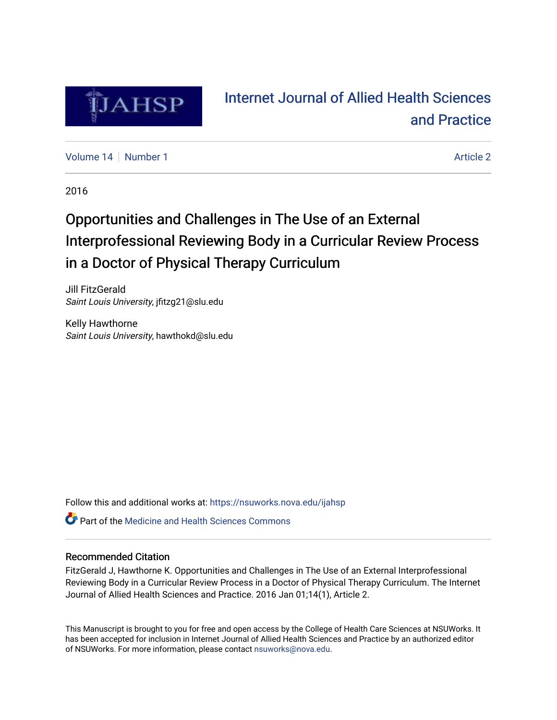

# [Internet Journal of Allied Health Sciences](https://nsuworks.nova.edu/ijahsp)  [and Practice](https://nsuworks.nova.edu/ijahsp)

[Volume 14](https://nsuworks.nova.edu/ijahsp/vol14) | [Number 1](https://nsuworks.nova.edu/ijahsp/vol14/iss1) [Article 2](https://nsuworks.nova.edu/ijahsp/vol14/iss1/2) Article 2 Article 2 Article 2 Article 2 Article 2 Article 2 Article 2

2016

# Opportunities and Challenges in The Use of an External Interprofessional Reviewing Body in a Curricular Review Process in a Doctor of Physical Therapy Curriculum

Jill FitzGerald Saint Louis University, jfitzg21@slu.edu

Kelly Hawthorne Saint Louis University, hawthokd@slu.edu

Follow this and additional works at: [https://nsuworks.nova.edu/ijahsp](https://nsuworks.nova.edu/ijahsp?utm_source=nsuworks.nova.edu%2Fijahsp%2Fvol14%2Fiss1%2F2&utm_medium=PDF&utm_campaign=PDFCoverPages) 

**C** Part of the Medicine and Health Sciences Commons

### Recommended Citation

FitzGerald J, Hawthorne K. Opportunities and Challenges in The Use of an External Interprofessional Reviewing Body in a Curricular Review Process in a Doctor of Physical Therapy Curriculum. The Internet Journal of Allied Health Sciences and Practice. 2016 Jan 01;14(1), Article 2.

This Manuscript is brought to you for free and open access by the College of Health Care Sciences at NSUWorks. It has been accepted for inclusion in Internet Journal of Allied Health Sciences and Practice by an authorized editor of NSUWorks. For more information, please contact [nsuworks@nova.edu.](mailto:nsuworks@nova.edu)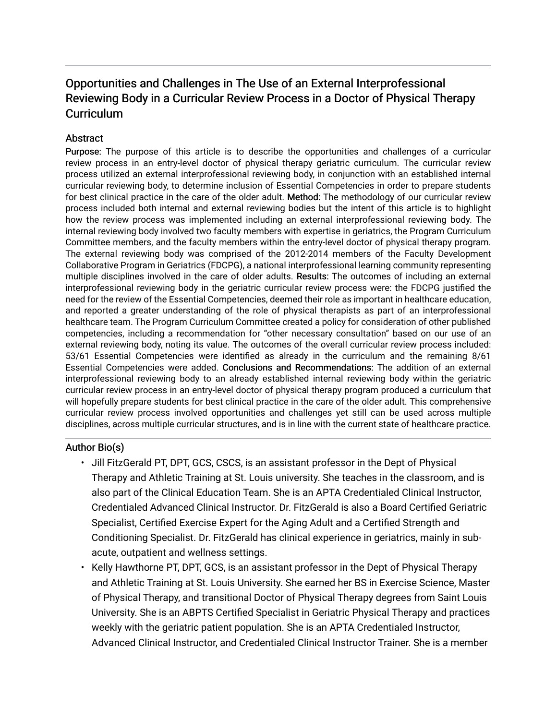# Opportunities and Challenges in The Use of an External Interprofessional Reviewing Body in a Curricular Review Process in a Doctor of Physical Therapy **Curriculum**

### **Abstract**

Purpose: The purpose of this article is to describe the opportunities and challenges of a curricular review process in an entry-level doctor of physical therapy geriatric curriculum. The curricular review process utilized an external interprofessional reviewing body, in conjunction with an established internal curricular reviewing body, to determine inclusion of Essential Competencies in order to prepare students for best clinical practice in the care of the older adult. Method: The methodology of our curricular review process included both internal and external reviewing bodies but the intent of this article is to highlight how the review process was implemented including an external interprofessional reviewing body. The internal reviewing body involved two faculty members with expertise in geriatrics, the Program Curriculum Committee members, and the faculty members within the entry-level doctor of physical therapy program. The external reviewing body was comprised of the 2012-2014 members of the Faculty Development Collaborative Program in Geriatrics (FDCPG), a national interprofessional learning community representing multiple disciplines involved in the care of older adults. Results: The outcomes of including an external interprofessional reviewing body in the geriatric curricular review process were: the FDCPG justified the need for the review of the Essential Competencies, deemed their role as important in healthcare education, and reported a greater understanding of the role of physical therapists as part of an interprofessional healthcare team. The Program Curriculum Committee created a policy for consideration of other published competencies, including a recommendation for "other necessary consultation" based on our use of an external reviewing body, noting its value. The outcomes of the overall curricular review process included: 53/61 Essential Competencies were identified as already in the curriculum and the remaining 8/61 Essential Competencies were added. Conclusions and Recommendations: The addition of an external interprofessional reviewing body to an already established internal reviewing body within the geriatric curricular review process in an entry-level doctor of physical therapy program produced a curriculum that will hopefully prepare students for best clinical practice in the care of the older adult. This comprehensive curricular review process involved opportunities and challenges yet still can be used across multiple disciplines, across multiple curricular structures, and is in line with the current state of healthcare practice.

## Author Bio(s)

- Jill FitzGerald PT, DPT, GCS, CSCS, is an assistant professor in the Dept of Physical Therapy and Athletic Training at St. Louis university. She teaches in the classroom, and is also part of the Clinical Education Team. She is an APTA Credentialed Clinical Instructor, Credentialed Advanced Clinical Instructor. Dr. FitzGerald is also a Board Certified Geriatric Specialist, Certified Exercise Expert for the Aging Adult and a Certified Strength and Conditioning Specialist. Dr. FitzGerald has clinical experience in geriatrics, mainly in subacute, outpatient and wellness settings.
- Kelly Hawthorne PT, DPT, GCS, is an assistant professor in the Dept of Physical Therapy and Athletic Training at St. Louis University. She earned her BS in Exercise Science, Master of Physical Therapy, and transitional Doctor of Physical Therapy degrees from Saint Louis University. She is an ABPTS Certified Specialist in Geriatric Physical Therapy and practices weekly with the geriatric patient population. She is an APTA Credentialed Instructor, Advanced Clinical Instructor, and Credentialed Clinical Instructor Trainer. She is a member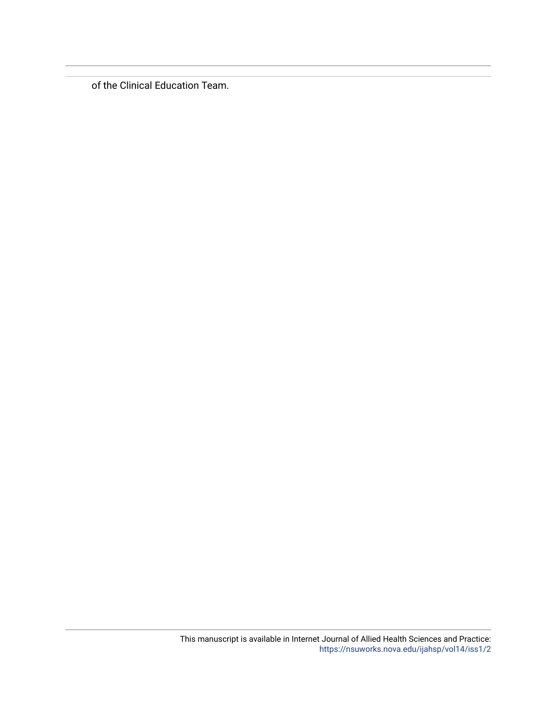of the Clinical Education Team.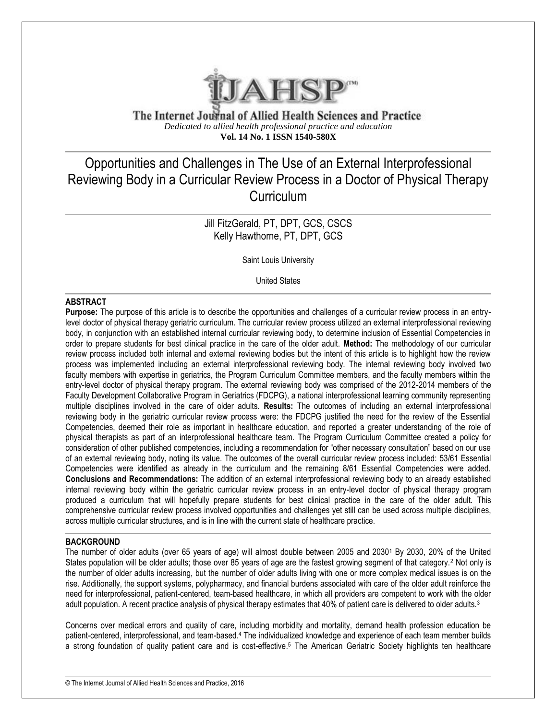

The Internet Journal of Allied Health Sciences and Practice *Dedicated to allied health professional practice and education* **Vol. 14 No. 1 ISSN 1540-580X**

# Opportunities and Challenges in The Use of an External Interprofessional Reviewing Body in a Curricular Review Process in a Doctor of Physical Therapy **Curriculum**

## Jill FitzGerald, PT, DPT, GCS, CSCS Kelly Hawthorne, PT, DPT, GCS

Saint Louis University

United States

#### **ABSTRACT**

**Purpose:** The purpose of this article is to describe the opportunities and challenges of a curricular review process in an entrylevel doctor of physical therapy geriatric curriculum. The curricular review process utilized an external interprofessional reviewing body, in conjunction with an established internal curricular reviewing body, to determine inclusion of Essential Competencies in order to prepare students for best clinical practice in the care of the older adult. **Method:** The methodology of our curricular review process included both internal and external reviewing bodies but the intent of this article is to highlight how the review process was implemented including an external interprofessional reviewing body. The internal reviewing body involved two faculty members with expertise in geriatrics, the Program Curriculum Committee members, and the faculty members within the entry-level doctor of physical therapy program. The external reviewing body was comprised of the 2012-2014 members of the Faculty Development Collaborative Program in Geriatrics (FDCPG), a national interprofessional learning community representing multiple disciplines involved in the care of older adults. **Results:** The outcomes of including an external interprofessional reviewing body in the geriatric curricular review process were: the FDCPG justified the need for the review of the Essential Competencies, deemed their role as important in healthcare education, and reported a greater understanding of the role of physical therapists as part of an interprofessional healthcare team. The Program Curriculum Committee created a policy for consideration of other published competencies, including a recommendation for "other necessary consultation" based on our use of an external reviewing body, noting its value. The outcomes of the overall curricular review process included: 53/61 Essential Competencies were identified as already in the curriculum and the remaining 8/61 Essential Competencies were added. **Conclusions and Recommendations:** The addition of an external interprofessional reviewing body to an already established internal reviewing body within the geriatric curricular review process in an entry-level doctor of physical therapy program produced a curriculum that will hopefully prepare students for best clinical practice in the care of the older adult. This comprehensive curricular review process involved opportunities and challenges yet still can be used across multiple disciplines, across multiple curricular structures, and is in line with the current state of healthcare practice.

#### **BACKGROUND**

The number of older adults (over 65 years of age) will almost double between 2005 and 2030<sup>1</sup> By 2030, 20% of the United States population will be older adults; those over 85 years of age are the fastest growing segment of that category.<sup>2</sup> Not only is the number of older adults increasing, but the number of older adults living with one or more complex medical issues is on the rise. Additionally, the support systems, polypharmacy, and financial burdens associated with care of the older adult reinforce the need for interprofessional, patient-centered, team-based healthcare, in which all providers are competent to work with the older adult population. A recent practice analysis of physical therapy estimates that 40% of patient care is delivered to older adults.<sup>3</sup>

Concerns over medical errors and quality of care, including morbidity and mortality, demand health profession education be patient-centered, interprofessional, and team-based.<sup>4</sup> The individualized knowledge and experience of each team member builds a strong foundation of quality patient care and is cost-effective.<sup>5</sup> The American Geriatric Society highlights ten healthcare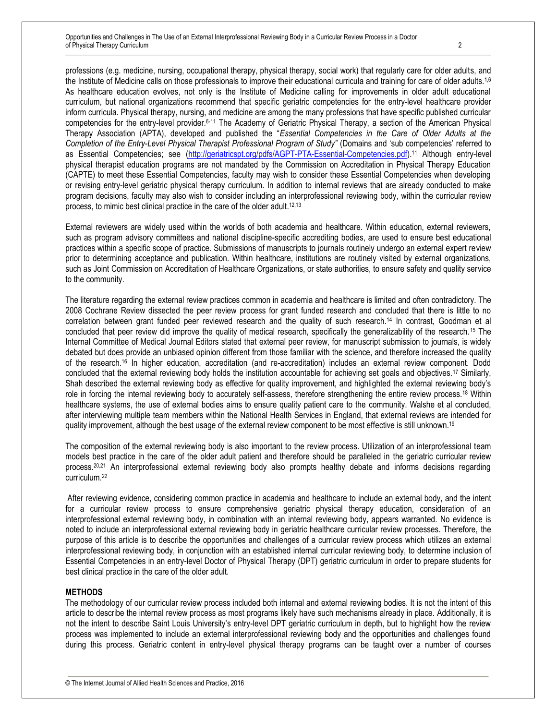professions (e.g. medicine, nursing, occupational therapy, physical therapy, social work) that regularly care for older adults, and the Institute of Medicine calls on those professionals to improve their educational curricula and training for care of older adults.<sup>1,6</sup> As healthcare education evolves, not only is the Institute of Medicine calling for improvements in older adult educational curriculum, but national organizations recommend that specific geriatric competencies for the entry-level healthcare provider inform curricula. Physical therapy, nursing, and medicine are among the many professions that have specific published curricular competencies for the entry-level provider.6-11 The Academy of Geriatric Physical Therapy, a section of the American Physical Therapy Association (APTA), developed and published the "*Essential Competencies in the Care of Older Adults at the Completion of the Entry-Level Physical Therapist Professional Program of Study"* (Domains and 'sub competencies' referred to as Essential Competencies; see [\(http://geriatricspt.org/pdfs/AGPT-PTA-Essential-Competencies.pdf\)](http://geriatricspt.org/pdfs/AGPT-PTA-Essential-Competencies.pdf).<sup>11</sup> Although entry-level physical therapist education programs are not mandated by the Commission on Accreditation in Physical Therapy Education (CAPTE) to meet these Essential Competencies, faculty may wish to consider these Essential Competencies when developing or revising entry-level geriatric physical therapy curriculum. In addition to internal reviews that are already conducted to make program decisions, faculty may also wish to consider including an interprofessional reviewing body, within the curricular review process, to mimic best clinical practice in the care of the older adult.<sup>12,13</sup>

External reviewers are widely used within the worlds of both academia and healthcare. Within education, external reviewers, such as program advisory committees and national discipline-specific accrediting bodies, are used to ensure best educational practices within a specific scope of practice. Submissions of manuscripts to journals routinely undergo an external expert review prior to determining acceptance and publication. Within healthcare, institutions are routinely visited by external organizations, such as Joint Commission on Accreditation of Healthcare Organizations, or state authorities, to ensure safety and quality service to the community.

The literature regarding the external review practices common in academia and healthcare is limited and often contradictory. The 2008 Cochrane Review dissected the peer review process for grant funded research and concluded that there is little to no correlation between grant funded peer reviewed research and the quality of such research.<sup>14</sup> In contrast, Goodman et al concluded that peer review did improve the quality of medical research, specifically the generalizability of the research.<sup>15</sup> The Internal Committee of Medical Journal Editors stated that external peer review, for manuscript submission to journals, is widely debated but does provide an unbiased opinion different from those familiar with the science, and therefore increased the quality of the research.<sup>16</sup> In higher education, accreditation (and re-accreditation) includes an external review component. Dodd concluded that the external reviewing body holds the institution accountable for achieving set goals and objectives.<sup>17</sup> Similarly, Shah described the external reviewing body as effective for quality improvement, and highlighted the external reviewing body's role in forcing the internal reviewing body to accurately self-assess, therefore strengthening the entire review process.<sup>18</sup> Within healthcare systems, the use of external bodies aims to ensure quality patient care to the community. Walshe et al concluded, after interviewing multiple team members within the National Health Services in England, that external reviews are intended for quality improvement, although the best usage of the external review component to be most effective is still unknown.<sup>19</sup>

The composition of the external reviewing body is also important to the review process. Utilization of an interprofessional team models best practice in the care of the older adult patient and therefore should be paralleled in the geriatric curricular review process.20,21 An interprofessional external reviewing body also prompts healthy debate and informs decisions regarding curriculum.<sup>22</sup>

After reviewing evidence, considering common practice in academia and healthcare to include an external body, and the intent for a curricular review process to ensure comprehensive geriatric physical therapy education, consideration of an interprofessional external reviewing body, in combination with an internal reviewing body, appears warranted. No evidence is noted to include an interprofessional external reviewing body in geriatric healthcare curricular review processes. Therefore, the purpose of this article is to describe the opportunities and challenges of a curricular review process which utilizes an external interprofessional reviewing body, in conjunction with an established internal curricular reviewing body, to determine inclusion of Essential Competencies in an entry-level Doctor of Physical Therapy (DPT) geriatric curriculum in order to prepare students for best clinical practice in the care of the older adult.

#### **METHODS**

The methodology of our curricular review process included both internal and external reviewing bodies. It is not the intent of this article to describe the internal review process as most programs likely have such mechanisms already in place. Additionally, it is not the intent to describe Saint Louis University's entry-level DPT geriatric curriculum in depth, but to highlight how the review process was implemented to include an external interprofessional reviewing body and the opportunities and challenges found during this process. Geriatric content in entry-level physical therapy programs can be taught over a number of courses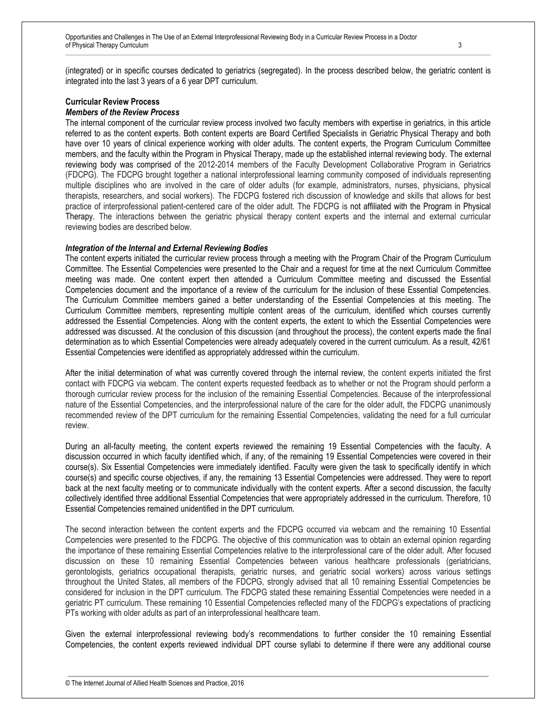(integrated) or in specific courses dedicated to geriatrics (segregated). In the process described below, the geriatric content is integrated into the last 3 years of a 6 year DPT curriculum.

#### **Curricular Review Process** *Members of the Review Process*

The internal component of the curricular review process involved two faculty members with expertise in geriatrics, in this article referred to as the content experts. Both content experts are Board Certified Specialists in Geriatric Physical Therapy and both have over 10 years of clinical experience working with older adults. The content experts, the Program Curriculum Committee members, and the faculty within the Program in Physical Therapy, made up the established internal reviewing body. The external reviewing body was comprised of the 2012-2014 members of the Faculty Development Collaborative Program in Geriatrics (FDCPG). The FDCPG brought together a national interprofessional learning community composed of individuals representing multiple disciplines who are involved in the care of older adults (for example, administrators, nurses, physicians, physical therapists, researchers, and social workers). The FDCPG fostered rich discussion of knowledge and skills that allows for best practice of interprofessional patient-centered care of the older adult. The FDCPG is not affiliated with the Program in Physical Therapy. The interactions between the geriatric physical therapy content experts and the internal and external curricular reviewing bodies are described below.

#### *Integration of the Internal and External Reviewing Bodies*

The content experts initiated the curricular review process through a meeting with the Program Chair of the Program Curriculum Committee. The Essential Competencies were presented to the Chair and a request for time at the next Curriculum Committee meeting was made. One content expert then attended a Curriculum Committee meeting and discussed the Essential Competencies document and the importance of a review of the curriculum for the inclusion of these Essential Competencies. The Curriculum Committee members gained a better understanding of the Essential Competencies at this meeting. The Curriculum Committee members, representing multiple content areas of the curriculum, identified which courses currently addressed the Essential Competencies. Along with the content experts, the extent to which the Essential Competencies were addressed was discussed. At the conclusion of this discussion (and throughout the process), the content experts made the final determination as to which Essential Competencies were already adequately covered in the current curriculum. As a result, 42/61 Essential Competencies were identified as appropriately addressed within the curriculum.

After the initial determination of what was currently covered through the internal review, the content experts initiated the first contact with FDCPG via webcam. The content experts requested feedback as to whether or not the Program should perform a thorough curricular review process for the inclusion of the remaining Essential Competencies. Because of the interprofessional nature of the Essential Competencies, and the interprofessional nature of the care for the older adult, the FDCPG unanimously recommended review of the DPT curriculum for the remaining Essential Competencies, validating the need for a full curricular review.

During an all-faculty meeting, the content experts reviewed the remaining 19 Essential Competencies with the faculty. A discussion occurred in which faculty identified which, if any, of the remaining 19 Essential Competencies were covered in their course(s). Six Essential Competencies were immediately identified. Faculty were given the task to specifically identify in which course(s) and specific course objectives, if any, the remaining 13 Essential Competencies were addressed. They were to report back at the next faculty meeting or to communicate individually with the content experts. After a second discussion, the faculty collectively identified three additional Essential Competencies that were appropriately addressed in the curriculum. Therefore, 10 Essential Competencies remained unidentified in the DPT curriculum.

The second interaction between the content experts and the FDCPG occurred via webcam and the remaining 10 Essential Competencies were presented to the FDCPG. The objective of this communication was to obtain an external opinion regarding the importance of these remaining Essential Competencies relative to the interprofessional care of the older adult. After focused discussion on these 10 remaining Essential Competencies between various healthcare professionals (geriatricians, gerontologists, geriatrics occupational therapists, geriatric nurses, and geriatric social workers) across various settings throughout the United States, all members of the FDCPG, strongly advised that all 10 remaining Essential Competencies be considered for inclusion in the DPT curriculum. The FDCPG stated these remaining Essential Competencies were needed in a geriatric PT curriculum. These remaining 10 Essential Competencies reflected many of the FDCPG's expectations of practicing PTs working with older adults as part of an interprofessional healthcare team.

Given the external interprofessional reviewing body's recommendations to further consider the 10 remaining Essential Competencies, the content experts reviewed individual DPT course syllabi to determine if there were any additional course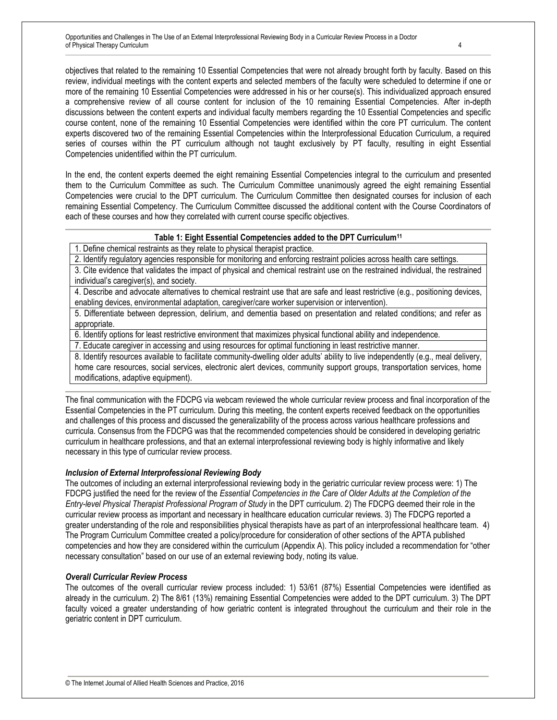objectives that related to the remaining 10 Essential Competencies that were not already brought forth by faculty. Based on this review, individual meetings with the content experts and selected members of the faculty were scheduled to determine if one or more of the remaining 10 Essential Competencies were addressed in his or her course(s). This individualized approach ensured a comprehensive review of all course content for inclusion of the 10 remaining Essential Competencies. After in-depth discussions between the content experts and individual faculty members regarding the 10 Essential Competencies and specific course content, none of the remaining 10 Essential Competencies were identified within the core PT curriculum. The content experts discovered two of the remaining Essential Competencies within the Interprofessional Education Curriculum, a required series of courses within the PT curriculum although not taught exclusively by PT faculty, resulting in eight Essential Competencies unidentified within the PT curriculum.

In the end, the content experts deemed the eight remaining Essential Competencies integral to the curriculum and presented them to the Curriculum Committee as such. The Curriculum Committee unanimously agreed the eight remaining Essential Competencies were crucial to the DPT curriculum. The Curriculum Committee then designated courses for inclusion of each remaining Essential Competency. The Curriculum Committee discussed the additional content with the Course Coordinators of each of these courses and how they correlated with current course specific objectives.

#### **Table 1: Eight Essential Competencies added to the DPT Curriculum<sup>11</sup>**

1. Define chemical restraints as they relate to physical therapist practice.

2. Identify regulatory agencies responsible for monitoring and enforcing restraint policies across health care settings.

3. Cite evidence that validates the impact of physical and chemical restraint use on the restrained individual, the restrained individual's caregiver(s), and society.

4. Describe and advocate alternatives to chemical restraint use that are safe and least restrictive (e.g., positioning devices, enabling devices, environmental adaptation, caregiver/care worker supervision or intervention).

5. Differentiate between depression, delirium, and dementia based on presentation and related conditions; and refer as appropriate.

6. Identify options for least restrictive environment that maximizes physical functional ability and independence.

7. Educate caregiver in accessing and using resources for optimal functioning in least restrictive manner.

8. Identify resources available to facilitate community-dwelling older adults' ability to live independently (e.g., meal delivery, home care resources, social services, electronic alert devices, community support groups, transportation services, home modifications, adaptive equipment).

The final communication with the FDCPG via webcam reviewed the whole curricular review process and final incorporation of the Essential Competencies in the PT curriculum. During this meeting, the content experts received feedback on the opportunities and challenges of this process and discussed the generalizability of the process across various healthcare professions and curricula. Consensus from the FDCPG was that the recommended competencies should be considered in developing geriatric curriculum in healthcare professions, and that an external interprofessional reviewing body is highly informative and likely necessary in this type of curricular review process.

#### *Inclusion of External Interprofessional Reviewing Body*

The outcomes of including an external interprofessional reviewing body in the geriatric curricular review process were: 1) The FDCPG justified the need for the review of the *Essential Competencies in the Care of Older Adults at the Completion of the Entry-level Physical Therapist Professional Program of Study* in the DPT curriculum. 2) The FDCPG deemed their role in the curricular review process as important and necessary in healthcare education curricular reviews. 3) The FDCPG reported a greater understanding of the role and responsibilities physical therapists have as part of an interprofessional healthcare team. 4) The Program Curriculum Committee created a policy/procedure for consideration of other sections of the APTA published competencies and how they are considered within the curriculum (Appendix A). This policy included a recommendation for "other necessary consultation" based on our use of an external reviewing body, noting its value.

#### *Overall Curricular Review Process*

The outcomes of the overall curricular review process included: 1) 53/61 (87%) Essential Competencies were identified as already in the curriculum. 2) The 8/61 (13%) remaining Essential Competencies were added to the DPT curriculum. 3) The DPT faculty voiced a greater understanding of how geriatric content is integrated throughout the curriculum and their role in the geriatric content in DPT curriculum.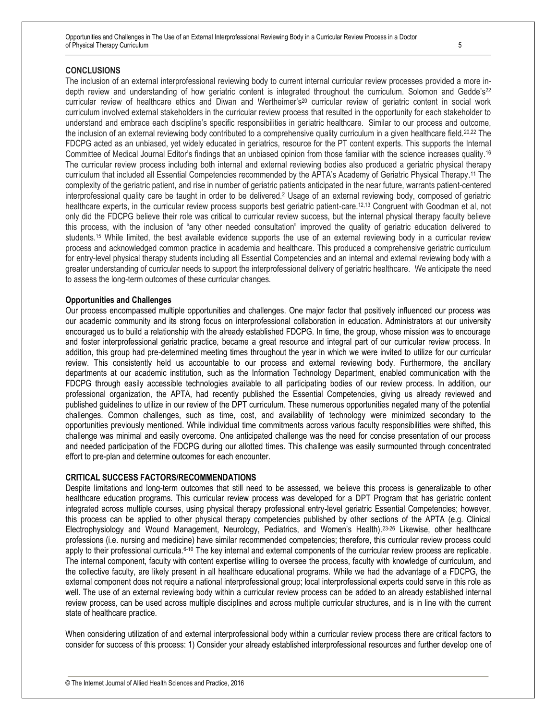Opportunities and Challenges in The Use of an External Interprofessional Reviewing Body in a Curricular Review Process in a Doctor of Physical Therapy Curriculum 5

#### **CONCLUSIONS**

The inclusion of an external interprofessional reviewing body to current internal curricular review processes provided a more indepth review and understanding of how geriatric content is integrated throughout the curriculum. Solomon and Gedde's<sup>22</sup> curricular review of healthcare ethics and Diwan and Wertheimer's<sup>20</sup> curricular review of geriatric content in social work curriculum involved external stakeholders in the curricular review process that resulted in the opportunity for each stakeholder to understand and embrace each discipline's specific responsibilities in geriatric healthcare. Similar to our process and outcome, the inclusion of an external reviewing body contributed to a comprehensive quality curriculum in a given healthcare field.20,22 The FDCPG acted as an unbiased, yet widely educated in geriatrics, resource for the PT content experts. This supports the Internal Committee of Medical Journal Editor's findings that an unbiased opinion from those familiar with the science increases quality. 16 The curricular review process including both internal and external reviewing bodies also produced a geriatric physical therapy curriculum that included all Essential Competencies recommended by the APTA's Academy of Geriatric Physical Therapy. <sup>11</sup> The complexity of the geriatric patient, and rise in number of geriatric patients anticipated in the near future, warrants patient-centered interprofessional quality care be taught in order to be delivered.<sup>2</sup> Usage of an external reviewing body, composed of geriatric healthcare experts, in the curricular review process supports best geriatric patient-care.12,13 Congruent with Goodman et al, not only did the FDCPG believe their role was critical to curricular review success, but the internal physical therapy faculty believe this process, with the inclusion of "any other needed consultation" improved the quality of geriatric education delivered to students.<sup>15</sup> While limited, the best available evidence supports the use of an external reviewing body in a curricular review process and acknowledged common practice in academia and healthcare. This produced a comprehensive geriatric curriculum for entry-level physical therapy students including all Essential Competencies and an internal and external reviewing body with a greater understanding of curricular needs to support the interprofessional delivery of geriatric healthcare. We anticipate the need to assess the long-term outcomes of these curricular changes.

#### **Opportunities and Challenges**

Our process encompassed multiple opportunities and challenges. One major factor that positively influenced our process was our academic community and its strong focus on interprofessional collaboration in education. Administrators at our university encouraged us to build a relationship with the already established FDCPG. In time, the group, whose mission was to encourage and foster interprofessional geriatric practice, became a great resource and integral part of our curricular review process. In addition, this group had pre-determined meeting times throughout the year in which we were invited to utilize for our curricular review. This consistently held us accountable to our process and external reviewing body. Furthermore, the ancillary departments at our academic institution, such as the Information Technology Department, enabled communication with the FDCPG through easily accessible technologies available to all participating bodies of our review process. In addition, our professional organization, the APTA, had recently published the Essential Competencies, giving us already reviewed and published guidelines to utilize in our review of the DPT curriculum. These numerous opportunities negated many of the potential challenges. Common challenges, such as time, cost, and availability of technology were minimized secondary to the opportunities previously mentioned. While individual time commitments across various faculty responsibilities were shifted, this challenge was minimal and easily overcome. One anticipated challenge was the need for concise presentation of our process and needed participation of the FDCPG during our allotted times. This challenge was easily surmounted through concentrated effort to pre-plan and determine outcomes for each encounter.

#### **CRITICAL SUCCESS FACTORS/RECOMMENDATIONS**

Despite limitations and long-term outcomes that still need to be assessed, we believe this process is generalizable to other healthcare education programs. This curricular review process was developed for a DPT Program that has geriatric content integrated across multiple courses, using physical therapy professional entry-level geriatric Essential Competencies; however, this process can be applied to other physical therapy competencies published by other sections of the APTA (e.g. Clinical Electrophysiology and Wound Management, Neurology, Pediatrics, and Women's Health).23-26 Likewise, other healthcare professions (i.e. nursing and medicine) have similar recommended competencies; therefore, this curricular review process could apply to their professional curricula.6-10 The key internal and external components of the curricular review process are replicable. The internal component, faculty with content expertise willing to oversee the process, faculty with knowledge of curriculum, and the collective faculty, are likely present in all healthcare educational programs. While we had the advantage of a FDCPG, the external component does not require a national interprofessional group; local interprofessional experts could serve in this role as well. The use of an external reviewing body within a curricular review process can be added to an already established internal review process, can be used across multiple disciplines and across multiple curricular structures, and is in line with the current state of healthcare practice.

When considering utilization of and external interprofessional body within a curricular review process there are critical factors to consider for success of this process: 1) Consider your already established interprofessional resources and further develop one of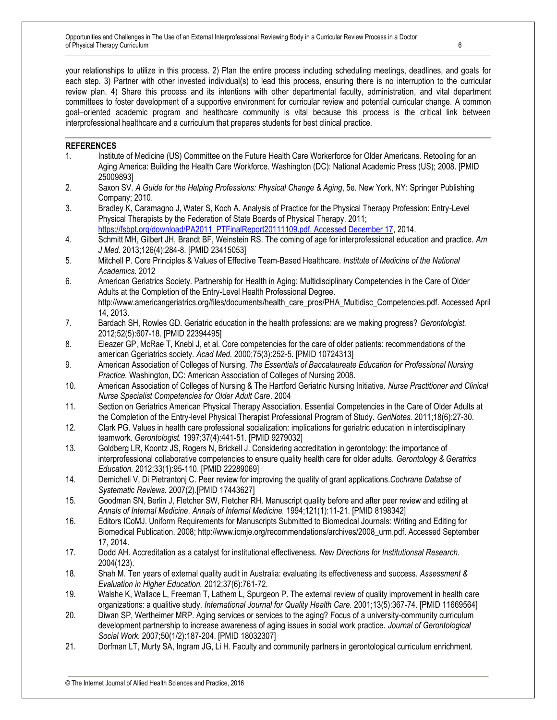Opportunities and Challenges in The Use of an External Interprofessional Reviewing Body in a Curricular Review Process in a Doctor of Physical Therapy Curriculum 6

your relationships to utilize in this process. 2) Plan the entire process including scheduling meetings, deadlines, and goals for each step. 3) Partner with other invested individual(s) to lead this process, ensuring there is no interruption to the curricular review plan. 4) Share this process and its intentions with other departmental faculty, administration, and vital department committees to foster development of a supportive environment for curricular review and potential curricular change. A common goal–oriented academic program and healthcare community is vital because this process is the critical link between interprofessional healthcare and a curriculum that prepares students for best clinical practice.

#### **REFERENCES**

- 1. Institute of Medicine (US) Committee on the Future Health Care Workerforce for Older Americans. Retooling for an Aging America: Building the Health Care Workforce. Washington (DC): National Academic Press (US); 2008. [PMID 25009893]
- 2. Saxon SV. *A Guide for the Helping Professions: Physical Change & Aging*, 5e. New York, NY: Springer Publishing Company; 2010.
- 3. Bradley K, Caramagno J, Water S, Koch A. Analysis of Practice for the Physical Therapy Profession: Entry-Level Physical Therapists by the Federation of State Boards of Physical Therapy. 2011; [https://fsbpt.org/download/PA2011\\_PTFinalReport20111109.pdf. Accessed December 17,](https://fsbpt.org/download/PA2011_PTFinalReport20111109.pdf.%20Accessed%20December%2017) 2014.
- 4. Schmitt MH, Gilbert JH, Brandt BF, Weinstein RS. The coming of age for interprofessional education and practice. *Am J Med.* 2013;126(4):284-8. [PMID 23415053]
- 5. Mitchell P. Core Principles & Values of Effective Team-Based Healthcare. *Institute of Medicine of the National Academics.* 2012
- 6. American Geriatrics Society. Partnership for Health in Aging: Multidisciplinary Competencies in the Care of Older Adults at the Completion of the Entry-Level Health Professional Degree. http://www.americangeriatrics.org/files/documents/health\_care\_pros/PHA\_Multidisc\_Competencies.pdf. Accessed April 14, 2013.
- 7. Bardach SH, Rowles GD. Geriatric education in the health professions: are we making progress? *Gerontologist.*  2012;52(5):607-18. [PMID 22394495]
- 8. Eleazer GP, McRae T, Knebl J, et al. Core competencies for the care of older patients: recommendations of the american Ggeriatrics society. *Acad Med.* 2000;75(3):252-5. [PMID 10724313]
- 9. American Association of Colleges of Nursing. *The Essentials of Baccalaureate Education for Professional Nursing Practice.* Washington, DC: American Association of Colleges of Nursing 2008.
- 10. American Association of Colleges of Nursing & The Hartford Geriatric Nursing Initiative. *Nurse Practitioner and Clinical Nurse Specialist Competencies for Older Adult Care*. 2004
- 11. Section on Geriatrics American Physical Therapy Association. Essential Competencies in the Care of Older Adults at the Completion of the Entry-level Physical Therapist Professional Program of Study. *GeriNotes.* 2011;18(6):27-30.
- 12. Clark PG. Values in health care professional socialization: implications for geriatric education in interdisciplinary teamwork. *Gerontologist.* 1997;37(4):441-51. [PMID 9279032]
- 13. Goldberg LR, Koontz JS, Rogers N, Brickell J. Considering accreditation in gerontology: the importance of interprofessional collaborative competencies to ensure quality health care for older adults. *Gerontology & Geratrics Education.* 2012;33(1):95-110. [PMID 22289069]
- 14. Demicheli V, Di Pietrantonj C. Peer review for improving the quality of grant applications.*Cochrane Databse of Systematic Reviews.* 2007(2).[PMID 17443627]
- 15. Goodman SN, Berlin J, Fletcher SW, Fletcher RH. Manuscript quality before and after peer review and editing at *Annals of Internal Medicine*. *Annals of Internal Medicine.* 1994;121(1):11-21. [PMID 8198342]
- 16. Editors ICoMJ. Uniform Requirements for Manuscripts Submitted to Biomedical Journals: Writing and Editing for Biomedical Publication. 2008; http://www.icmje.org/recommendations/archives/2008\_urm.pdf. Accessed September 17, 2014.
- 17. Dodd AH. Accreditation as a catalyst for institutional effectiveness. *New Directions for Institutionsal Research.*  2004(123).
- 18. Shah M. Ten years of external quality audit in Australia: evaluating its effectiveness and success. *Assessment & Evaluation in Higher Education.* 2012;37(6):761-72.
- 19. Walshe K, Wallace L, Freeman T, Lathem L, Spurgeon P. The external review of quality improvement in health care organizations: a qualitive study. *International Journal for Quality Health Care.* 2001;13(5):367-74. [PMID 11669564]
- 20. Diwan SP, Wertheimer MRP. Aging services or services to the aging? Focus of a university-community curriculum development partnership to increase awareness of aging issues in social work practice. *Journal of Gerontological Social Work.* 2007;50(1/2):187-204. [PMID 18032307]
- 21. Dorfman LT, Murty SA, Ingram JG, Li H. Faculty and community partners in gerontological curriculum enrichment.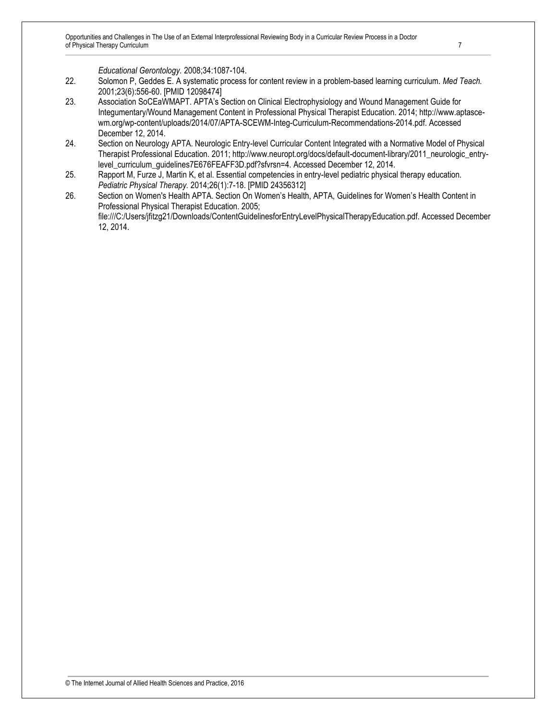*Educational Gerontology.* 2008;34:1087-104.

- 22. Solomon P, Geddes E. A systematic process for content review in a problem-based learning curriculum. *Med Teach.*  2001;23(6):556-60. [PMID 12098474]
- 23. Association SoCEaWMAPT. APTA's Section on Clinical Electrophysiology and Wound Management Guide for Integumentary/Wound Management Content in Professional Physical Therapist Education. 2014; http://www.aptascewm.org/wp-content/uploads/2014/07/APTA-SCEWM-Integ-Curriculum-Recommendations-2014.pdf. Accessed December 12, 2014.
- 24. Section on Neurology APTA. Neurologic Entry-level Curricular Content Integrated with a Normative Model of Physical Therapist Professional Education. 2011; http://www.neuropt.org/docs/default-document-library/2011\_neurologic\_entrylevel\_curriculum\_guidelines7E676FEAFF3D.pdf?sfvrsn=4. Accessed December 12, 2014.
- 25. Rapport M, Furze J, Martin K, et al. Essential competencies in entry-level pediatric physical therapy education. *Pediatric Physical Therapy.* 2014;26(1):7-18. [PMID 24356312]
- 26. Section on Women's Health APTA. Section On Women's Health, APTA, Guidelines for Women's Health Content in Professional Physical Therapist Education. 2005; file:///C:/Users/jfitzg21/Downloads/ContentGuidelinesforEntryLevelPhysicalTherapyEducation.pdf. Accessed December 12, 2014.